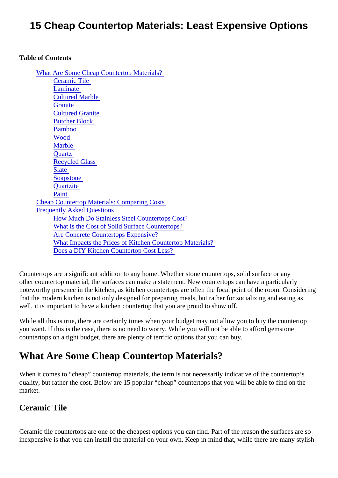# 15 Cheap Countertop Materials: Least Expensive Options

#### Table of Contents

What Are Some Cheap Countertop Materials? Ceramic Tile **[Laminate](#page-1-0)** [Cultured Marble](#page-1-0) **[Granite](#page-1-0)** [Cultured Granite](#page-1-0) [Butcher Block](#page-1-0) **[Bamboo](#page-1-0)** [Wood](#page-2-0)  **Marble [Quartz](#page-2-0)** [Recycled Glas](#page-2-0)s **[Slate](#page-2-0) [Soapstone](#page-3-0) [Quartzite](#page-3-0)** [Paint](#page-3-0)  [Cheap Countertop Materials: Comparing Co](#page-3-0)sts [Frequently Asked Question](#page-4-0)s [How Much Do Stainless Steel Countertops Co](#page-4-0)st? [What is the Cost of Solid Surface Counterto](#page-4-0)ps? [Are Concrete Countertops Expensiv](#page-4-0)e? [What Impacts the Prices of Kitchen Countertop Materi](#page-4-0)als? [Does a DIY Kitchen Countertop Cost Les](#page-4-0)s?

Countertops are a significant addition to any home. Whether stone countertops, solid surface or any other countertop material, the surfaces can make a statement. New countertops can have a particularly noteworthy presence in the kitchen, as kitchen countertops are often the focal point of the room. Consider that the modern kitchen is not only designed for preparing meals, but rather for socializing and eating as well, it is important to have a kitchen countertop that you are proud to show off.

While all this is true, there are certainly times when your budget may not allow you to buy the countertop you want. If this is the case, there is no need to worry. While you will not be able to afford gemstone countertops on a tight budget, there are plenty of terrific options that you can buy.

# What Are Some Cheap Countertop Materials?

When it comes to "cheap" countertop materials, the term is not necessarily indicative of the countertop's quality, but rather the cost. Below are 15 popular "cheap" countertops that you will be able to find on the market.

#### Ceramic Tile

Ceramic tile countertops are one of the cheapest options you can find. Part of the reason the surfaces are inexpensive is that you can install the material on your own. Keep in mind that, while there are many stylis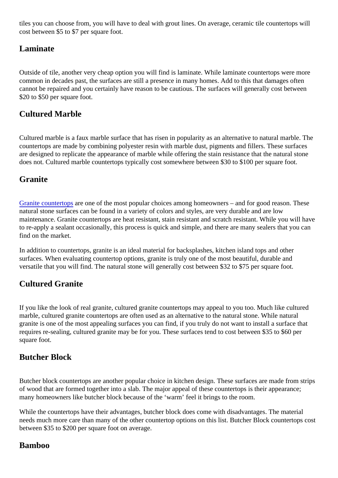<span id="page-1-0"></span>tiles you can choose from, you will have to deal with grout lines. On average, ceramic tile countertops will cost between \$5 to \$7 per square foot.

### Laminate

Outside of tile, another very cheap option you will find is laminate. While laminate countertops were more common in decades past, the surfaces are still a presence in many homes. Add to this that damages often cannot be repaired and you certainly have reason to be cautious. The surfaces will generally cost between \$20 to \$50 per square foot.

### Cultured Marble

Cultured marble is a faux marble surface that has risen in popularity as an alternative to natural marble. The countertops are made by combining polyester resin with marble dust, pigments and fillers. These surfaces are designed to replicate the appearance of marble while offering the stain resistance that the natural ston does not. Cultured marble countertops typically cost somewhere between \$30 to \$100 per square foot.

#### **Granite**

[Granite countertop](https://marble.com/granite-countertops)areone of the most popular choices among homeowners – and for good reason. These natural stone surfaces can be found in a variety of colors and styles, are very durable and are low maintenance. Granite countertops are heat resistant, stain resistant and scratch resistant. While you will h to re-apply a sealant occasionally, this process is quick and simple, and there are many sealers that you c find on the market.

In addition to countertops, granite is an ideal material for backsplashes, kitchen island tops and other surfaces. When evaluating countertop options, granite is truly one of the most beautiful, durable and versatile that you will find. The natural stone will generally cost between \$32 to \$75 per square foot.

### Cultured Granite

If you like the look of real granite, cultured granite countertops may appeal to you too. Much like cultured marble, cultured granite countertops are often used as an alternative to the natural stone. While natural granite is one of the most appealing surfaces you can find, if you truly do not want to install a surface that requires re-sealing, cultured granite may be for you. These surfaces tend to cost between \$35 to \$60 per square foot.

#### Butcher Block

Butcher block countertops are another popular choice in kitchen design. These surfaces are made from st of wood that are formed together into a slab. The major appeal of these countertops is their appearance; many homeowners like butcher block because of the 'warm' feel it brings to the room.

While the countertops have their advantages, butcher block does come with disadvantages. The material needs much more care than many of the other countertop options on this list. Butcher Block countertops or between \$35 to \$200 per square foot on average.

#### Bamboo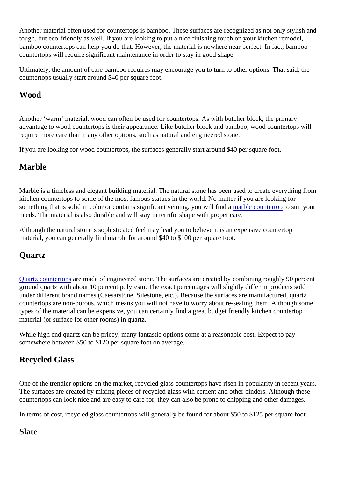<span id="page-2-0"></span>Another material often used for countertops is bamboo. These surfaces are recognized as not only stylish tough, but eco-friendly as well. If you are looking to put a nice finishing touch on your kitchen remodel, bamboo countertops can help you do that. However, the material is nowhere near perfect. In fact, bamboo countertops will require significant maintenance in order to stay in good shape.

Ultimately, the amount of care bamboo requires may encourage you to turn to other options. That said, the countertops usually start around \$40 per square foot.

#### Wood

Another 'warm' material, wood can often be used for countertops. As with butcher block, the primary advantage to wood countertops is their appearance. Like butcher block and bamboo, wood countertops w require more care than many other options, such as natural and engineered stone.

If you are looking for wood countertops, the surfaces generally start around \$40 per square foot.

### Marble

Marble is a timeless and elegant building material. The natural stone has been used to create everything from kitchen countertops to some of the most famous statues in the world. No matter if you are looking for somethingthat is solid in color or contains significant veining, you will findable countertoto suit your needs. The material is also durable and will stay in terrific shape with proper care.

Although the natural stone's sophisticated feel may lead you to believe it is an expensive countertop material, you can generally find marble for around \$40 to \$100 per square foot.

#### **Quartz**

[Quartz countertop](https://marble.com/quartz-countertops)aremade of engineered stone. The surfaces are created by combining roughly 90 perce ground quartz with about 10 percent polyresin. The exact percentages will slightly differ in products sold under different brand names (Caesarstone, Silestone, etc.). Because the surfaces are manufactured, quart countertops are non-porous, which means you will not have to worry about re-sealing them. Although some types of the material can be expensive, you can certainly find a great budget friendly kitchen countertop material (or surface for other rooms) in quartz.

While high end quartz can be pricey, many fantastic options come at a reasonable cost. Expect to pay somewhere between \$50 to \$120 per square foot on average.

#### Recycled Glass

One of the trendier options on the market, recycled glass countertops have risen in popularity in recent years. The surfaces are created by mixing pieces of recycled glass with cement and other binders. Although thes countertops can look nice and are easy to care for, they can also be prone to chipping and other damages.

In terms of cost, recycled glass countertops will generally be found for about \$50 to \$125 per square foot.

#### **Slate**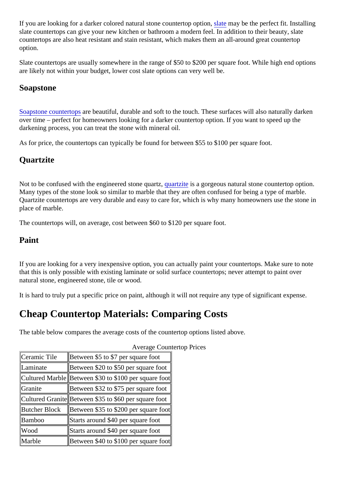<span id="page-3-0"></span>If you are looking for a darker colored natural stone countertop optictionary be the perfect fit. Installing slate countertops can give your new kitchen or bathroom a modern feel. In addition to their beauty, slate countertops are also heat resistant and stain resistant, which makes them an all-around great countertop option.

Slate countertops are usually somewhere in the range of \$50 to \$200 per square foot. While high end options are likely not within your budget, lower cost slate options can very well be.

#### Soapstone

[Soapstone counterto](https://marble.com/soapstone-countertops)pse beautiful, durable and soft to the touch. These surfaces will also naturally darken over time – perfect for homeowners looking for a darker countertop option. If you want to speed up the darkening process, you can treat the stone with mineral oil.

As for price, the countertops can typically be found for between \$55 to \$100 per square foot.

#### **Quartzite**

Not to be confused with the engineered stone quarter trains a gorgeous natural stone countertop option. Many types of the stone look so similar to marble that they are often confused for being a type of marble. Quartzite countertops are very durable and easy to care for, which is why many homeowners use the ston place of marble.

The countertops will, on average, cost between \$60 to \$120 per square foot.

#### Paint

If you are looking for a very inexpensive option, you can actually paint your countertops. Make sure to note that this is only possible with existing laminate or solid surface countertops; never attempt to paint over natural stone, engineered stone, tile or wood.

It is hard to truly put a specific price on paint, although it will not require any type of significant expense.

## Cheap Countertop Materials: Comparing Costs

The table below compares the average costs of the countertop options listed above.

| Ceramic Tile   | Between \$5 to \$7 per square foot                   |
|----------------|------------------------------------------------------|
| Laminate       | Between \$20 to \$50 per square foot                 |
|                | Cultured MarbldBetween \$30 to \$100 per square foot |
| <b>Granite</b> | Between \$32 to \$75 per square foot                 |
|                | Cultured Granit Between \$35 to \$60 per square foot |
| Butcher Block  | Between \$35 to \$200 per square foot                |
| <b>Bamboo</b>  | Starts around \$40 per square foot                   |
| Wood           | Starts around \$40 per square foot                   |
| Marble         | Between \$40 to \$100 per square foot                |

#### Average Countertop Prices